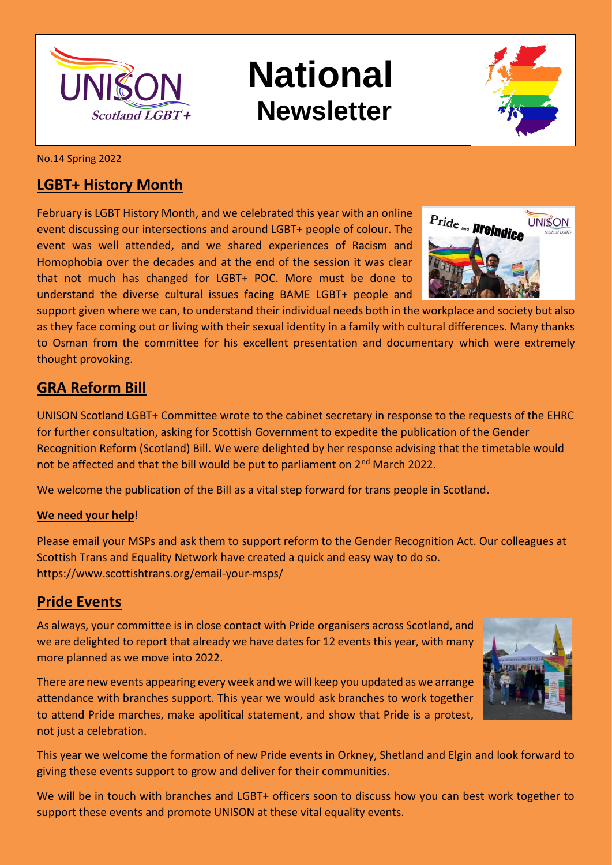

# **National Newsletter**



No.14 Spring 2022

#### **LGBT+ History Month**

February is LGBT History Month, and we celebrated this year with an online event discussing our intersections and around LGBT+ people of colour. The event was well attended, and we shared experiences of Racism and Homophobia over the decades and at the end of the session it was clear that not much has changed for LGBT+ POC. More must be done to understand the diverse cultural issues facing BAME LGBT+ people and

Pride <sub>and</sub> **Drejudice UNISON** 

support given where we can, to understand their individual needs both in the workplace and society but also as they face coming out or living with their sexual identity in a family with cultural differences. Many thanks to Osman from the committee for his excellent presentation and documentary which were extremely thought provoking.

#### **GRA Reform Bill**

UNISON Scotland LGBT+ Committee wrote to the cabinet secretary in response to the requests of the EHRC for further consultation, asking for Scottish Government to expedite the publication of the Gender Recognition Reform (Scotland) Bill. We were delighted by her response advising that the timetable would not be affected and that the bill would be put to parliament on 2<sup>nd</sup> March 2022.

We welcome the publication of the Bill as a vital step forward for trans people in Scotland.

#### **We need your help**!

Please email your MSPs and ask them to support reform to the Gender Recognition Act. Our colleagues at Scottish Trans and Equality Network have created a quick and easy way to do so. https://www.scottishtrans.org/email-your-msps/

#### **Pride Events**

As always, your committee is in close contact with Pride organisers across Scotland, and we are delighted to report that already we have dates for 12 events this year, with many more planned as we move into 2022.

There are new events appearing every week and we will keep you updated as we arrange attendance with branches support. This year we would ask branches to work together to attend Pride marches, make apolitical statement, and show that Pride is a protest, not just a celebration.



This year we welcome the formation of new Pride events in Orkney, Shetland and Elgin and look forward to giving these events support to grow and deliver for their communities.

We will be in touch with branches and LGBT+ officers soon to discuss how you can best work together to support these events and promote UNISON at these vital equality events.